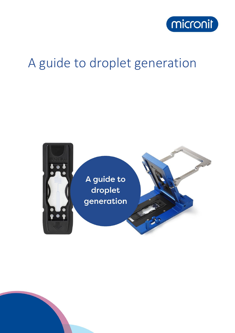

# A guide to droplet generation

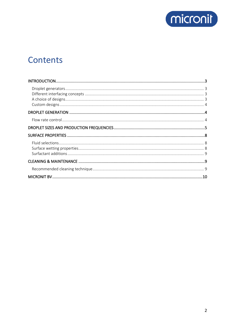

# Contents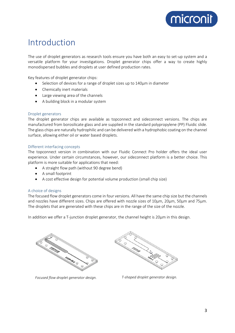

# <span id="page-2-0"></span>Introduction

The use of droplet generators as research tools ensure you have both an easy to set-up system and a versatile platform for your investigations. Droplet generator chips offer a way to create highly monodispersed bubbles and droplets at user defined production rates.

Key features of droplet generator chips:

- Selection of devices for a range of droplet sizes up to 140µm in diameter
- Chemically inert materials
- Large viewing area of the channels
- A building block in a modular system

#### <span id="page-2-1"></span>Droplet generators

The droplet generator chips are available as topconnect and sideconnect versions. The chips are manufactured from borosilicate glass and are supplied in the standard polypropylene (PP) Fluidic slide. The glass chips are naturally hydrophilic and can be delivered with a hydrophobic coating on the channel surface, allowing either oil or water based droplets.

#### <span id="page-2-2"></span>Different interfacing concepts

The topconnect version in combination with our Fluidic Connect Pro holder offers the ideal user experience. Under certain circumstances, however, our sideconnect platform is a better choice. This platform is more suitable for applications that need:

- A straight flow path (without 90 degree bend)
- A small footprint
- A cost effective design for potential volume production (small chip size)

#### <span id="page-2-3"></span>A choice of designs

The focused flow droplet generators come in four versions. All have the same chip size but the channels and nozzles have different sizes. Chips are offered with nozzle sizes of 10µm, 20µm, 50µm and 75µm. The droplets that are generated with these chips are in the range of the size of the nozzle.

In addition we offer a T-junction droplet generator, the channel height is 20µm in this design.



*Focused flow droplet generator design. T-shaped droplet generator design.*

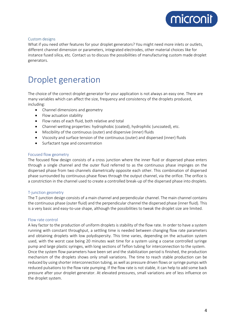

#### <span id="page-3-0"></span>Custom designs

What if you need other features for your droplet generators? You might need more inlets or outlets, different channel dimension or parameters, integrated electrodes, other material choices like for instance fused silica, etc. Contact us to discuss the possibilities of manufacturing custom made droplet generators.

### <span id="page-3-1"></span>Droplet generation

The choice of the correct droplet generator for your application is not always an easy one. There are many variables which can affect the size, frequency and consistency of the droplets produced, including:

- Channel dimensions and geometry
- Flow actuation stability
- Flow rates of each fluid, both relative and total
- Channel wetting properties: hydrophobic (coated), hydrophilic (uncoated), etc.
- Miscibility of the continuous (outer) and dispersive (inner) fluids
- Viscosity and surface tension of the continuous (outer) and dispersed (inner) fluids
- Surfactant type and concentration

#### Focused flow geometry

The focused flow design consists of a cross junction where the inner fluid or dispersed phase enters through a single channel and the outer fluid referred to as the continuous phase impinges on the dispersed phase from two channels diametrically opposite each other. This combination of dispersed phase surrounded by continuous phase flows through the output channel, via the orifice. The orifice is a constriction in the channel used to create a controlled break-up of the dispersed phase into droplets.

#### T-junction geometry

The T-junction design consists of a main channel and perpendicular channel. The main channel contains the continuous phase (outer fluid) and the perpendicular channel the dispersed phase (inner fluid). This is a very basic and easy-to-use shape, although the possibilities to tweak the droplet size are limited.

#### <span id="page-3-2"></span>Flow rate control

A key factor to the production of uniform droplets is stability of the flow rate. In order to have a system running with constant throughput, a settling time is needed between changing flow rate parameters and obtaining droplets with low polydispersity. This time varies, depending on the actuation system used, with the worst case being 20 minutes wait time for a system using a coarse controlled syringe pump and large plastic syringes, with long sections of Teflon tubing for interconnection to the system. Once the system flow parameters have been set and the stabilization period is finished, the production mechanism of the droplets shows only small variations. The time to reach stable production can be reduced by using shorter interconnection tubing, as well as pressure driven flows or syringe pumps with reduced pulsations to the flow rate pumping. If the flow rate is not stable, it can help to add some back pressure after your droplet generator. At elevated pressures, small variations are of less influence on the droplet system.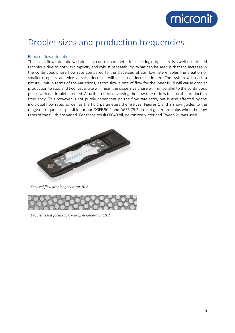# micronit

# <span id="page-4-0"></span>Droplet sizes and production frequencies

#### Effect of flow rate ratios

The use of flow rate ratio variation as a control parameter for selecting droplet size is a well-established technique due to both its simplicity and robust repeatability. What can be seen is that the increase in the continuous phase flow rate compared to the dispersed phase flow rate enables the creation of smaller droplets, and vice versa: a decrease will lead to an increase in size. The system will reach a natural limit in terms of the variations, as too slow a rate of flow for the inner fluid will cause droplet production to stop and two fast a rate will mean the dispersive phase will run parallel to the continuous phase with no droplets formed. A further effect of varying the flow rate ratio is to alter the production frequency. This however is not purely dependent on the flow rate ratio, but is also affected by the individual flow rates as well as the fluid parameters themselves. Figures 1 and 2 show guides to the range of frequencies possible for our DGFF.50.2 and DGFF.75.2 droplet generator chips when the flow rates of the fluids are varied. For these results FC40 oil, de-ionized water and Tween 20 was used.



*Focused flow droplet generator 10.2.*



*Droplet result focused flow droplet generator 10.2.*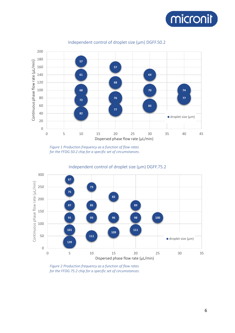



#### Independent control of droplet size (µm) DGFF.50.2

*Figure 1 Production frequency as a function of flow rates for the FFDG.50.2 chip for a specific set of circumstances.*



Independent control of droplet size (µm) DGFF.75.2

*Figure 2 Production frequency as a function of flow rates for the FFDG.75.2 chip for a specific set of circumstances.*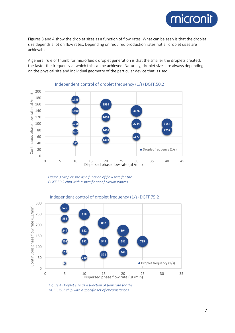

Figures 3 and 4 show the droplet sizes as a function of flow rates. What can be seen is that the droplet size depends a lot on flow rates. Depending on required production rates not all droplet sizes are achievable.

A general rule of thumb for microfluidic droplet generation is that the smaller the droplets created, the faster the frequency at which this can be achieved. Naturally, droplet sizes are always depending on the physical size and individual geometry of the particular device that is used.



Independent control of droplet frequency (1/s) DGFF.50.2

*Figure 3 Droplet size as a function of flow rate for the DGFF.50.2 chip with a specific set of circumstances.*



#### Independent control of droplet frequency (1/s) DGFF.75.2

*Figure 4 Droplet size as a function of flow rate for the DGFF.75.2 chip with a specific set of circumstances.*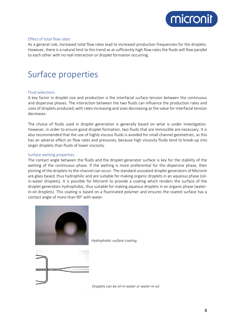

#### Effect of total flow rates

As a general rule, increased total flow rates lead to increased production frequencies for the droplets. However, there is a natural limit to this trend as at sufficiently high flow rates the fluids will flow parallel to each other with no real interaction or droplet formation occurring.

### <span id="page-7-0"></span>Surface properties

#### <span id="page-7-1"></span>Fluid selections

A key factor in droplet size and production is the interfacial surface tension between the continuous and dispersive phases. The interaction between the two fluids can influence the production rates and sizes of droplets produced, with rates increasing and sizes decreasing as the value for interfacial tension decreases.

The choice of fluids used in droplet generation is generally based on what is under investigation. However, in order to ensure good droplet formation, two fluids that are immiscible are necessary. It is also recommended that the use of highly viscous fluids is avoided for small channel geometries, as this has an adverse effect on flow rates and pressures, because high viscosity fluids tend to break-up into larger droplets than fluids of lower viscosity.

#### <span id="page-7-2"></span>Surface wetting properties

The contact angle between the fluids and the droplet generator surface is key for the stability of the wetting of the continuous phase. If the wetting is more preferential for the dispersive phase, then pinning of the droplets to the channel can occur. The standard uncoated droplet generators of Micronit are glass based, thus hydrophilic and are suitable for making organic droplets in an aqueous phase (oilin-water droplets). It is possible for Micronit to provide a coating which renders the surface of the droplet generators hydrophobic, thus suitable for making aqueous droplets in an organic phase (waterin-oil droplets). This coating is based on a fluorinated polymer and ensures the coated surface has a contact angle of more than 90° with water.



*Hydrophobic surface coating.*



*Droplets can be oil-in-water or water-in-oil.*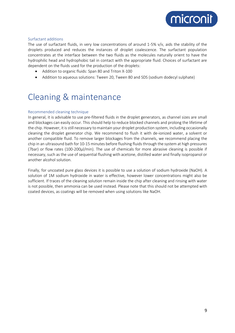

#### <span id="page-8-0"></span>Surfactant additions

The use of surfactant fluids, in very low concentrations of around 1-5% v/v, aids the stability of the droplets produced and reduces the instances of droplet coalescence. The surfactant population concentrates at the interface between the two fluids as the molecules naturally orient to have the hydrophilic head and hydrophobic tail in contact with the appropriate fluid. Choices of surfactant are dependent on the fluids used for the production of the droplets:

- Addition to organic fluids: Span 80 and Triton X-100
- Addition to aqueous solutions: Tween 20, Tween 80 and SDS (sodium dodecyl sulphate)

# <span id="page-8-1"></span>Cleaning & maintenance

#### <span id="page-8-2"></span>Recommended cleaning technique

In general, it is advisable to use pre-filtered fluids in the droplet generators, as channel sizes are small and blockages can easily occur. This should help to reduce blocked channels and prolong the lifetime of the chip. However, it is still necessary to maintain your droplet production system, including occasionally cleaning the droplet generator chip. We recommend to flush it with de-ionized water, a solvent or another compatible fluid. To remove larger blockages from the channels, we recommend placing the chip in an ultrasound bath for 10-15 minutes before flushing fluids through the system at high pressures (7bar) or flow rates (100-200µl/min). The use of chemicals for more abrasive cleaning is possible if necessary, such as the use of sequential flushing with acetone, distilled water and finally isopropanol or another alcohol solution.

Finally, for uncoated pure glass devices it is possible to use a solution of sodium hydroxide (NaOH). A solution of 1M sodium hydroxide in water is effective, however lower concentrations might also be sufficient. If traces of the cleaning solution remain inside the chip after cleaning and rinsing with water is not possible, then ammonia can be used instead. Please note that this should not be attempted with coated devices, as coatings will be removed when using solutions like NaOH.